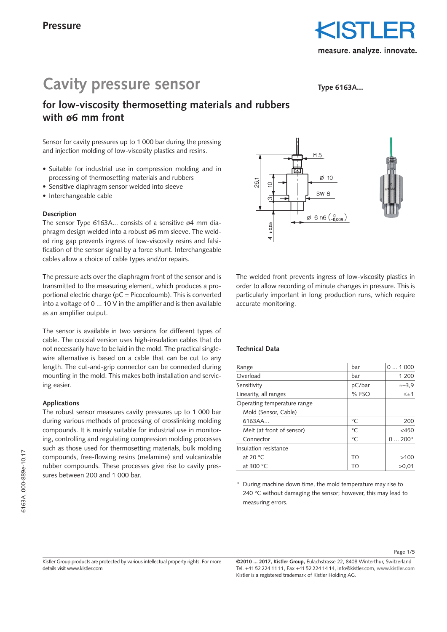## **Cavity pressure sensor**

**Type 6163A...**

### **for low-viscosity thermosetting materials and rubbers with ø6 mm front**

Sensor for cavity pressures up to 1 000 bar during the pressing and injection molding of low-viscosity plastics and resins.

- Suitable for industrial use in compression molding and in processing of thermosetting materials and rubbers
- Sensitive diaphragm sensor welded into sleeve
- Interchangeable cable

#### **Description**

The sensor Type 6163A... consists of a sensitive ø4 mm diaphragm design welded into a robust ø6 mm sleeve. The welded ring gap prevents ingress of low-viscosity resins and falsification of the sensor signal by a force shunt. Interchangeable cables allow a choice of cable types and/or repairs.

The pressure acts over the diaphragm front of the sensor and is transmitted to the measuring element, which produces a proportional electric charge ( $pC = Picocoloumb$ ). This is converted into a voltage of 0 ... 10 V in the amplifier and is then available as an amplifier output.

The sensor is available in two versions for different types of cable. The coaxial version uses high-insulation cables that do not necessarily have to be laid in the mold. The practical singlewire alternative is based on a cable that can be cut to any length. The cut-and-grip connector can be connected during mounting in the mold. This makes both installation and servicing easier.

#### **Applications**

The robust sensor measures cavity pressures up to 1 000 bar during various methods of processing of crosslinking molding compounds. It is mainly suitable for industrial use in monitoring, controlling and regulating compression molding processes such as those used for thermosetting materials, bulk molding compounds, free-flowing resins (melamine) and vulcanizable rubber compounds. These processes give rise to cavity pressures between 200 and 1 000 bar.



The welded front prevents ingress of low-viscosity plastics in order to allow recording of minute changes in pressure. This is particularly important in long production runs, which require accurate monitoring.

#### **Technical Data**

| Range                       | bar    | 01000          |
|-----------------------------|--------|----------------|
| Overload                    | bar    | 1 200          |
| Sensitivity                 | pC/bar | $\approx -3.9$ |
| Linearity, all ranges       | % FSO  | $\leq \pm 1$   |
| Operating temperature range |        |                |
| Mold (Sensor, Cable)        |        |                |
| 6163AA                      | °C     | 200            |
| Melt (at front of sensor)   | °C     | $<$ 450        |
| Connector                   | °C     | $0200*$        |
| Insulation resistance       |        |                |
| at 20 $\degree$ C           | TΩ     | >100           |
| at 300 $\degree$ C          | TΩ     | >0.01          |

\* During machine down time, the mold temperature may rise to 240 °C without damaging the sensor; however, this may lead to measuring errors.

Page 1/5

Kistler Group products are protected by various intellectual property rights. For more details visit www.kistler.com

**©2010 ... 2017, Kistler Group,** Eulachstrasse 22, 8408 Winterthur, Switzerland Tel. +41 52 224 11 11, Fax +41 52 224 14 14, info@kistler.com, **www.kistler.com** Kistler is a registered trademark of Kistler Holding AG.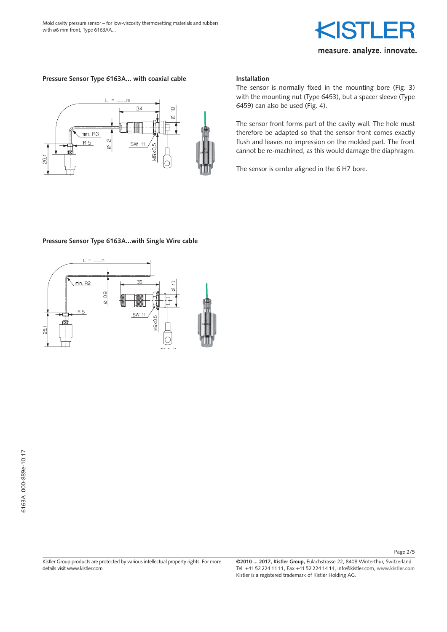# measure. analyze. innovate.

#### **Pressure Sensor Type 6163A... with coaxial cable**



#### **Installation**

The sensor is normally fixed in the mounting bore (Fig. 3) with the mounting nut (Type 6453), but a spacer sleeve (Type 6459) can also be used (Fig. 4).

The sensor front forms part of the cavity wall. The hole must therefore be adapted so that the sensor front comes exactly flush and leaves no impression on the molded part. The front cannot be re-machined, as this would damage the diaphragm.

The sensor is center aligned in the 6 H7 bore.

#### **Pressure Sensor Type 6163A...with Single Wire cable**



Kistler Group products are protected by various intellectual property rights. For more details visit www.kistler.com

**©2010 ... 2017, Kistler Group,** Eulachstrasse 22, 8408 Winterthur, Switzerland Tel. +41 52 224 11 11, Fax +41 52 224 14 14, info@kistler.com, **www.kistler.com** Kistler is a registered trademark of Kistler Holding AG.

Page 2/5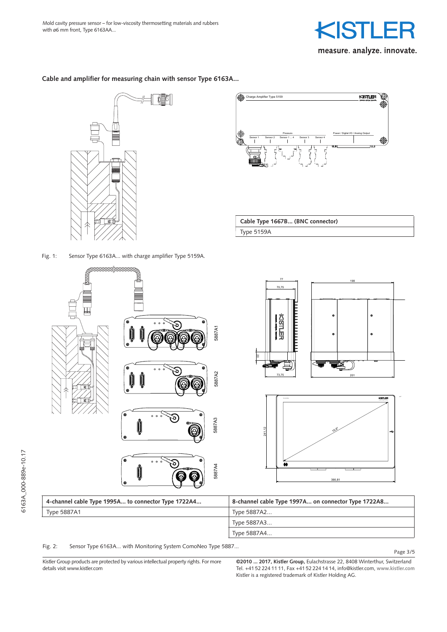

**Cable and amplifier for measuring chain with sensor Type 6163A...**

NT



Fig. 1: Sensor Type 6163A... with charge amplifier Type 5159A.



Cable Type 1667B... (BNC connector) Type 5159A



Type 5887A4...

Fig. 2: Sensor Type 6163A... with Monitoring System ComoNeo Type 5887...

Kistler Group products are protected by various intellectual property rights. For more details visit www.kistler.com  $\overline{a}$ <br>Sasar  $\overline{a}$ ni<br>in  $\frac{1}{\sqrt{1}}$ or<br>ell ir<br>ex

**©2010 ... 2017, Kistler Group,** Eulachstrasse 22, 8408 Winterthur, Switzerland Tel. +41 52 224 11 11, Fax +41 52 224 14 14, info@kistler.com, **www.kistler.com** Kistler is a registered trademark of Kistler Holding AG. 15" Comone Touch Display 15" Comone Touch Display 15" Comone Touch Display 15" Comone Touch Display 15" Comone Touch Display 15" Comone Touch Display 15" Comone Touch Display 15" Comone Touch Display 15" Comone Touch Displ

Page 3/5

Erstmals verwendet

 $\tilde{\mathcal{D}}$  derung Datum Ersatz für Massstab Kopie Datum Ersatz für Massstab Kopie Datum Ersatz für Massstab Kopie Datum Ersatz für Massstab Kopie Datum Ersatz für Massstab Kopie Datum Ersatz für Massstab Kopie Datum Ersa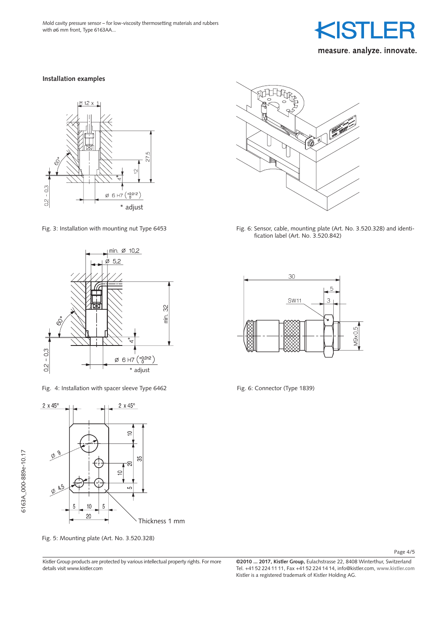

#### **Installation examples**





Fig. 4: Installation with spacer sleeve Type 6462



Fig. 5: Mounting plate (Art. No. 3.520.328)

Kistler Group products are protected by various intellectual property rights. For more details visit www.kistler.com



Fig. 3: Installation with mounting nut Type 6453 Fig. 6: Sensor, cable, mounting plate (Art. No. 3.520.328) and identification label (Art. No. 3.520.842)



Fig. 6: Connector (Type 1839)

Page 4/5

**©2010 ... 2017, Kistler Group,** Eulachstrasse 22, 8408 Winterthur, Switzerland Tel. +41 52 224 11 11, Fax +41 52 224 14 14, info@kistler.com, **www.kistler.com** Kistler is a registered trademark of Kistler Holding AG.